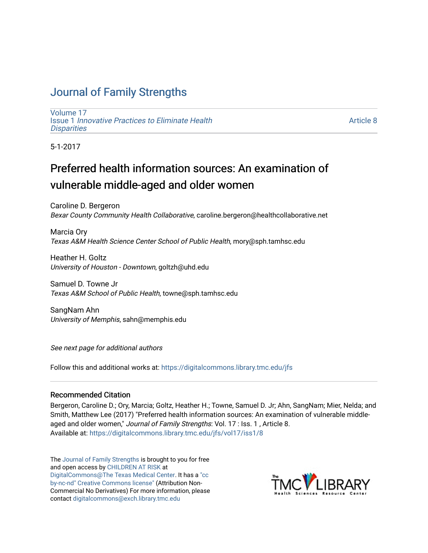## [Journal of Family Strengths](https://digitalcommons.library.tmc.edu/jfs)

[Volume 17](https://digitalcommons.library.tmc.edu/jfs/vol17) Issue 1 [Innovative Practices to Eliminate Health](https://digitalcommons.library.tmc.edu/jfs/vol17/iss1) **Disparities** 

[Article 8](https://digitalcommons.library.tmc.edu/jfs/vol17/iss1/8) 

5-1-2017

# Preferred health information sources: An examination of vulnerable middle-aged and older women

Caroline D. Bergeron Bexar County Community Health Collaborative, caroline.bergeron@healthcollaborative.net

Marcia Ory Texas A&M Health Science Center School of Public Health, mory@sph.tamhsc.edu

Heather H. Goltz University of Houston - Downtown, goltzh@uhd.edu

Samuel D. Towne Jr Texas A&M School of Public Health, towne@sph.tamhsc.edu

SangNam Ahn University of Memphis, sahn@memphis.edu

See next page for additional authors

Follow this and additional works at: [https://digitalcommons.library.tmc.edu/jfs](https://digitalcommons.library.tmc.edu/jfs?utm_source=digitalcommons.library.tmc.edu%2Fjfs%2Fvol17%2Fiss1%2F8&utm_medium=PDF&utm_campaign=PDFCoverPages) 

#### Recommended Citation

Bergeron, Caroline D.; Ory, Marcia; Goltz, Heather H.; Towne, Samuel D. Jr; Ahn, SangNam; Mier, Nelda; and Smith, Matthew Lee (2017) "Preferred health information sources: An examination of vulnerable middleaged and older women," Journal of Family Strengths: Vol. 17 : Iss. 1, Article 8. Available at: [https://digitalcommons.library.tmc.edu/jfs/vol17/iss1/8](https://digitalcommons.library.tmc.edu/jfs/vol17/iss1/8?utm_source=digitalcommons.library.tmc.edu%2Fjfs%2Fvol17%2Fiss1%2F8&utm_medium=PDF&utm_campaign=PDFCoverPages) 

The [Journal of Family Strengths](http://digitalcommons.library.tmc.edu/jfs) is brought to you for free and open access by [CHILDREN AT RISK](http://childrenatrisk.org/) at [DigitalCommons@The Texas Medical Center](http://digitalcommons.library.tmc.edu/). It has a ["cc](http://creativecommons.org/licenses/by-nc-nd/3.0/)  [by-nc-nd" Creative Commons license"](http://creativecommons.org/licenses/by-nc-nd/3.0/) (Attribution Non-Commercial No Derivatives) For more information, please contact [digitalcommons@exch.library.tmc.edu](mailto:digitalcommons@exch.library.tmc.edu) 

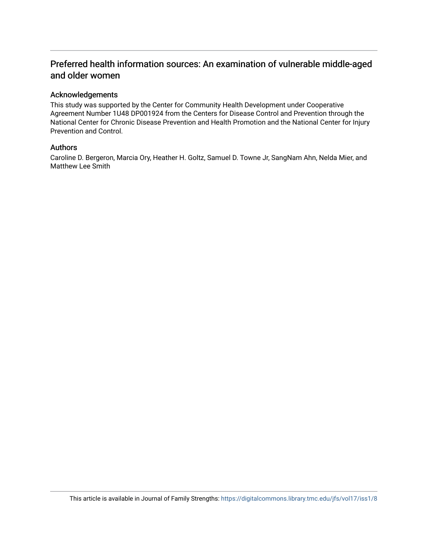## Preferred health information sources: An examination of vulnerable middle-aged and older women

#### Acknowledgements

This study was supported by the Center for Community Health Development under Cooperative Agreement Number 1U48 DP001924 from the Centers for Disease Control and Prevention through the National Center for Chronic Disease Prevention and Health Promotion and the National Center for Injury Prevention and Control.

#### Authors

Caroline D. Bergeron, Marcia Ory, Heather H. Goltz, Samuel D. Towne Jr, SangNam Ahn, Nelda Mier, and Matthew Lee Smith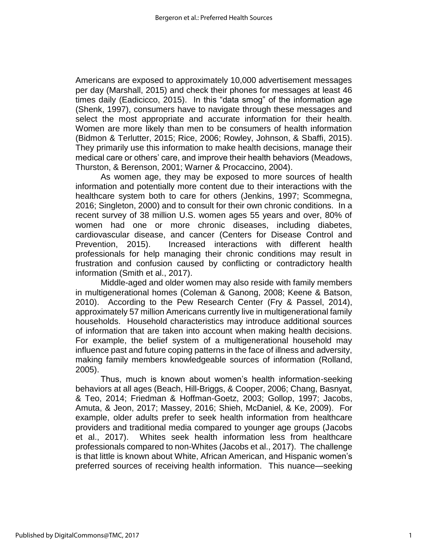Americans are exposed to approximately 10,000 advertisement messages per day (Marshall, 2015) and check their phones for messages at least 46 times daily (Eadicicco, 2015). In this "data smog" of the information age (Shenk, 1997), consumers have to navigate through these messages and select the most appropriate and accurate information for their health. Women are more likely than men to be consumers of health information (Bidmon & Terlutter, 2015; Rice, 2006; Rowley, Johnson, & Sbaffi, 2015). They primarily use this information to make health decisions, manage their medical care or others' care, and improve their health behaviors (Meadows, Thurston, & Berenson, 2001; Warner & Procaccino, 2004).

As women age, they may be exposed to more sources of health information and potentially more content due to their interactions with the healthcare system both to care for others (Jenkins, 1997; Scommegna, 2016; Singleton, 2000) and to consult for their own chronic conditions. In a recent survey of 38 million U.S. women ages 55 years and over, 80% of women had one or more chronic diseases, including diabetes, cardiovascular disease, and cancer (Centers for Disease Control and Prevention, 2015). Increased interactions with different health professionals for help managing their chronic conditions may result in frustration and confusion caused by conflicting or contradictory health information (Smith et al., 2017).

Middle-aged and older women may also reside with family members in multigenerational homes (Coleman & Ganong, 2008; Keene & Batson, 2010). According to the Pew Research Center (Fry & Passel, 2014), approximately 57 million Americans currently live in multigenerational family households. Household characteristics may introduce additional sources of information that are taken into account when making health decisions. For example, the belief system of a multigenerational household may influence past and future coping patterns in the face of illness and adversity, making family members knowledgeable sources of information (Rolland, 2005).

Thus, much is known about women's health information-seeking behaviors at all ages (Beach, Hill-Briggs, & Cooper, 2006; Chang, Basnyat, & Teo, 2014; Friedman & Hoffman-Goetz, 2003; Gollop, 1997; Jacobs, Amuta, & Jeon, 2017; Massey, 2016; Shieh, McDaniel, & Ke, 2009). For example, older adults prefer to seek health information from healthcare providers and traditional media compared to younger age groups (Jacobs et al., 2017). Whites seek health information less from healthcare professionals compared to non-Whites (Jacobs et al., 2017). The challenge is that little is known about White, African American, and Hispanic women's preferred sources of receiving health information. This nuance—seeking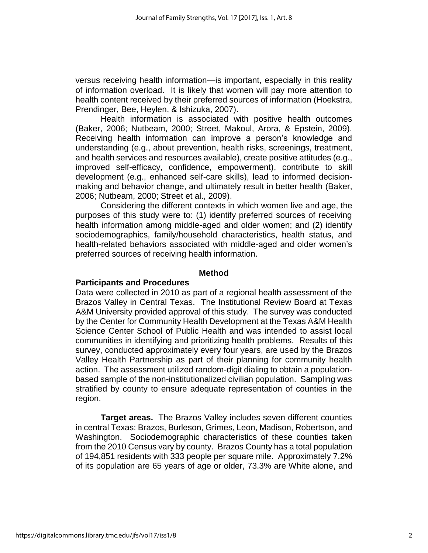versus receiving health information—is important, especially in this reality of information overload. It is likely that women will pay more attention to health content received by their preferred sources of information (Hoekstra, Prendinger, Bee, Heylen, & Ishizuka, 2007).

Health information is associated with positive health outcomes (Baker, 2006; Nutbeam, 2000; Street, Makoul, Arora, & Epstein, 2009). Receiving health information can improve a person's knowledge and understanding (e.g., about prevention, health risks, screenings, treatment, and health services and resources available), create positive attitudes (e.g., improved self-efficacy, confidence, empowerment), contribute to skill development (e.g., enhanced self-care skills), lead to informed decisionmaking and behavior change, and ultimately result in better health (Baker, 2006; Nutbeam, 2000; Street et al., 2009).

Considering the different contexts in which women live and age, the purposes of this study were to: (1) identify preferred sources of receiving health information among middle-aged and older women; and (2) identify sociodemographics, family/household characteristics, health status, and health-related behaviors associated with middle-aged and older women's preferred sources of receiving health information.

#### **Method**

#### **Participants and Procedures**

Data were collected in 2010 as part of a regional health assessment of the Brazos Valley in Central Texas. The Institutional Review Board at Texas A&M University provided approval of this study. The survey was conducted by the Center for Community Health Development at the Texas A&M Health Science Center School of Public Health and was intended to assist local communities in identifying and prioritizing health problems. Results of this survey, conducted approximately every four years, are used by the Brazos Valley Health Partnership as part of their planning for community health action. The assessment utilized random-digit dialing to obtain a populationbased sample of the non-institutionalized civilian population. Sampling was stratified by county to ensure adequate representation of counties in the region.

**Target areas.** The Brazos Valley includes seven different counties in central Texas: Brazos, Burleson, Grimes, Leon, Madison, Robertson, and Washington. Sociodemographic characteristics of these counties taken from the 2010 Census vary by county. Brazos County has a total population of 194,851 residents with 333 people per square mile. Approximately 7.2% of its population are 65 years of age or older, 73.3% are White alone, and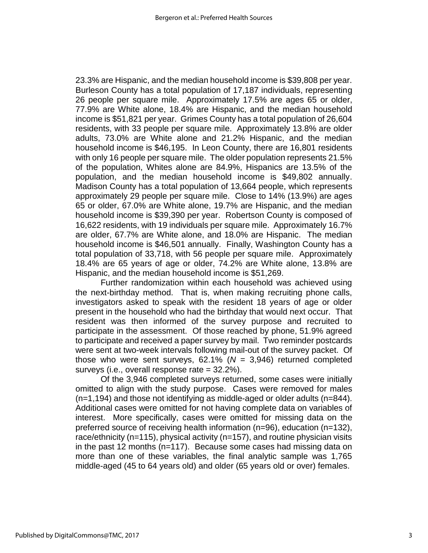23.3% are Hispanic, and the median household income is \$39,808 per year. Burleson County has a total population of 17,187 individuals, representing 26 people per square mile. Approximately 17.5% are ages 65 or older, 77.9% are White alone, 18.4% are Hispanic, and the median household income is \$51,821 per year. Grimes County has a total population of 26,604 residents, with 33 people per square mile. Approximately 13.8% are older adults, 73.0% are White alone and 21.2% Hispanic, and the median household income is \$46,195. In Leon County, there are 16,801 residents with only 16 people per square mile. The older population represents 21.5% of the population, Whites alone are 84.9%, Hispanics are 13.5% of the population, and the median household income is \$49,802 annually. Madison County has a total population of 13,664 people, which represents approximately 29 people per square mile. Close to 14% (13.9%) are ages 65 or older, 67.0% are White alone, 19.7% are Hispanic, and the median household income is \$39,390 per year. Robertson County is composed of 16,622 residents, with 19 individuals per square mile. Approximately 16.7% are older, 67.7% are White alone, and 18.0% are Hispanic. The median household income is \$46,501 annually. Finally, Washington County has a total population of 33,718, with 56 people per square mile. Approximately 18.4% are 65 years of age or older, 74.2% are White alone, 13.8% are Hispanic, and the median household income is \$51,269.

Further randomization within each household was achieved using the next-birthday method. That is, when making recruiting phone calls, investigators asked to speak with the resident 18 years of age or older present in the household who had the birthday that would next occur. That resident was then informed of the survey purpose and recruited to participate in the assessment. Of those reached by phone, 51.9% agreed to participate and received a paper survey by mail. Two reminder postcards were sent at two-week intervals following mail-out of the survey packet. Of those who were sent surveys, 62.1% (*N* = 3,946) returned completed surveys (i.e., overall response rate = 32.2%).

Of the 3,946 completed surveys returned, some cases were initially omitted to align with the study purpose. Cases were removed for males (n=1,194) and those not identifying as middle-aged or older adults (n=844). Additional cases were omitted for not having complete data on variables of interest. More specifically, cases were omitted for missing data on the preferred source of receiving health information (n=96), education (n=132), race/ethnicity (n=115), physical activity (n=157), and routine physician visits in the past 12 months (n=117). Because some cases had missing data on more than one of these variables, the final analytic sample was 1,765 middle-aged (45 to 64 years old) and older (65 years old or over) females.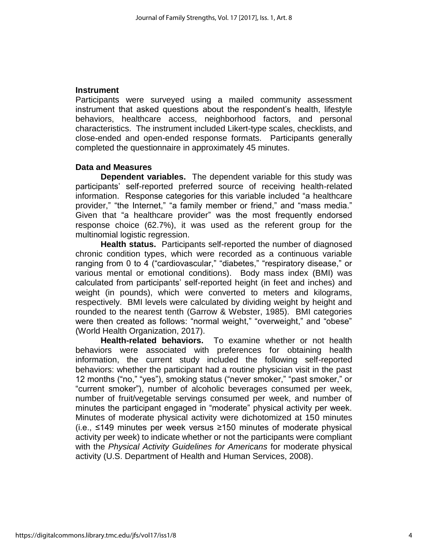#### **Instrument**

Participants were surveyed using a mailed community assessment instrument that asked questions about the respondent's health, lifestyle behaviors, healthcare access, neighborhood factors, and personal characteristics. The instrument included Likert-type scales, checklists, and close-ended and open-ended response formats. Participants generally completed the questionnaire in approximately 45 minutes.

#### **Data and Measures**

**Dependent variables.** The dependent variable for this study was participants' self-reported preferred source of receiving health-related information. Response categories for this variable included "a healthcare provider," "the Internet," "a family member or friend," and "mass media." Given that "a healthcare provider" was the most frequently endorsed response choice (62.7%), it was used as the referent group for the multinomial logistic regression.

**Health status.** Participants self-reported the number of diagnosed chronic condition types, which were recorded as a continuous variable ranging from 0 to 4 ("cardiovascular," "diabetes," "respiratory disease," or various mental or emotional conditions). Body mass index (BMI) was calculated from participants' self-reported height (in feet and inches) and weight (in pounds), which were converted to meters and kilograms, respectively. BMI levels were calculated by dividing weight by height and rounded to the nearest tenth (Garrow & Webster, 1985). BMI categories were then created as follows: "normal weight," "overweight," and "obese" (World Health Organization, 2017).

**Health-related behaviors.** To examine whether or not health behaviors were associated with preferences for obtaining health information, the current study included the following self-reported behaviors: whether the participant had a routine physician visit in the past 12 months ("no," "yes"), smoking status ("never smoker," "past smoker," or "current smoker"), number of alcoholic beverages consumed per week, number of fruit/vegetable servings consumed per week, and number of minutes the participant engaged in "moderate" physical activity per week. Minutes of moderate physical activity were dichotomized at 150 minutes (i.e., ≤149 minutes per week versus ≥150 minutes of moderate physical activity per week) to indicate whether or not the participants were compliant with the *Physical Activity Guidelines for Americans* for moderate physical activity (U.S. Department of Health and Human Services, 2008).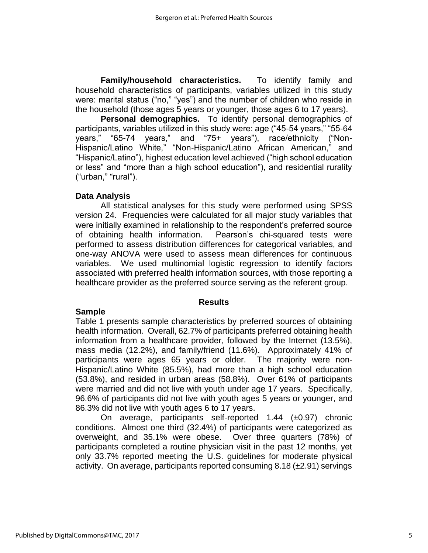**Family/household characteristics.** To identify family and household characteristics of participants, variables utilized in this study were: marital status ("no," "yes") and the number of children who reside in the household (those ages 5 years or younger, those ages 6 to 17 years).

**Personal demographics.** To identify personal demographics of participants, variables utilized in this study were: age ("45-54 years," "55-64 years," "65-74 years," and "75+ years"), race/ethnicity ("Non-Hispanic/Latino White," "Non-Hispanic/Latino African American," and "Hispanic/Latino"), highest education level achieved ("high school education or less" and "more than a high school education"), and residential rurality ("urban," "rural").

#### **Data Analysis**

All statistical analyses for this study were performed using SPSS version 24. Frequencies were calculated for all major study variables that were initially examined in relationship to the respondent's preferred source of obtaining health information. Pearson's chi-squared tests were performed to assess distribution differences for categorical variables, and one-way ANOVA were used to assess mean differences for continuous variables. We used multinomial logistic regression to identify factors associated with preferred health information sources, with those reporting a healthcare provider as the preferred source serving as the referent group.

#### **Results**

#### **Sample**

Table 1 presents sample characteristics by preferred sources of obtaining health information. Overall, 62.7% of participants preferred obtaining health information from a healthcare provider, followed by the Internet (13.5%), mass media (12.2%), and family/friend (11.6%). Approximately 41% of participants were ages 65 years or older. The majority were non-Hispanic/Latino White (85.5%), had more than a high school education (53.8%), and resided in urban areas (58.8%). Over 61% of participants were married and did not live with youth under age 17 years. Specifically, 96.6% of participants did not live with youth ages 5 years or younger, and 86.3% did not live with youth ages 6 to 17 years.

On average, participants self-reported  $1.44$  ( $\pm 0.97$ ) chronic conditions. Almost one third (32.4%) of participants were categorized as overweight, and 35.1% were obese. Over three quarters (78%) of participants completed a routine physician visit in the past 12 months, yet only 33.7% reported meeting the U.S. guidelines for moderate physical activity. On average, participants reported consuming 8.18 (±2.91) servings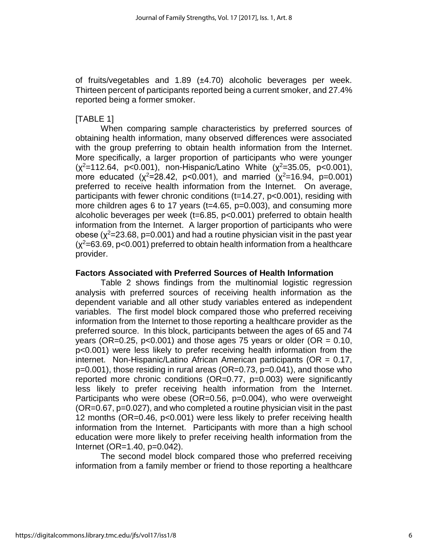of fruits/vegetables and 1.89 (±4.70) alcoholic beverages per week. Thirteen percent of participants reported being a current smoker, and 27.4% reported being a former smoker.

#### [TABLE 1]

When comparing sample characteristics by preferred sources of obtaining health information, many observed differences were associated with the group preferring to obtain health information from the Internet. More specifically, a larger proportion of participants who were younger  $(x^2=112.64, p<0.001)$ , non-Hispanic/Latino White  $(x^2=35.05, p<0.001)$ , more educated ( $\chi^2$ =28.42, p<0.001), and married ( $\chi^2$ =16.94, p=0.001) preferred to receive health information from the Internet. On average, participants with fewer chronic conditions (t=14.27, p<0.001), residing with more children ages 6 to 17 years (t=4.65, p=0.003), and consuming more alcoholic beverages per week (t=6.85, p<0.001) preferred to obtain health information from the Internet. A larger proportion of participants who were obese ( $\chi^2$ =23.68, p=0.001) and had a routine physician visit in the past year  $(x^2=63.69, p<0.001)$  preferred to obtain health information from a healthcare provider.

#### **Factors Associated with Preferred Sources of Health Information**

Table 2 shows findings from the multinomial logistic regression analysis with preferred sources of receiving health information as the dependent variable and all other study variables entered as independent variables. The first model block compared those who preferred receiving information from the Internet to those reporting a healthcare provider as the preferred source. In this block, participants between the ages of 65 and 74 years (OR=0.25,  $p<0.001$ ) and those ages 75 years or older (OR = 0.10, p<0.001) were less likely to prefer receiving health information from the internet. Non-Hispanic/Latino African American participants (OR = 0.17, p=0.001), those residing in rural areas (OR=0.73, p=0.041), and those who reported more chronic conditions (OR=0.77, p=0.003) were significantly less likely to prefer receiving health information from the Internet. Participants who were obese (OR=0.56, p=0.004), who were overweight (OR=0.67, p=0.027), and who completed a routine physician visit in the past 12 months (OR=0.46, p<0.001) were less likely to prefer receiving health information from the Internet. Participants with more than a high school education were more likely to prefer receiving health information from the Internet (OR=1.40, p=0.042).

The second model block compared those who preferred receiving information from a family member or friend to those reporting a healthcare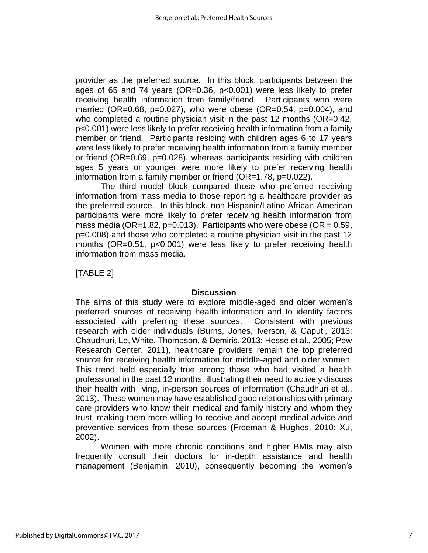provider as the preferred source. In this block, participants between the ages of 65 and 74 years (OR=0.36, p<0.001) were less likely to prefer receiving health information from family/friend. Participants who were married (OR=0.68, p=0.027), who were obese (OR=0.54, p=0.004), and who completed a routine physician visit in the past 12 months (OR=0.42, p<0.001) were less likely to prefer receiving health information from a family member or friend. Participants residing with children ages 6 to 17 years were less likely to prefer receiving health information from a family member or friend (OR=0.69, p=0.028), whereas participants residing with children ages 5 years or younger were more likely to prefer receiving health information from a family member or friend (OR=1.78, p=0.022).

The third model block compared those who preferred receiving information from mass media to those reporting a healthcare provider as the preferred source. In this block, non-Hispanic/Latino African American participants were more likely to prefer receiving health information from mass media (OR=1.82, p=0.013). Participants who were obese (OR =  $0.59$ , p=0.008) and those who completed a routine physician visit in the past 12 months (OR=0.51, p<0.001) were less likely to prefer receiving health information from mass media.

[TABLE 2]

#### **Discussion**

The aims of this study were to explore middle-aged and older women's preferred sources of receiving health information and to identify factors associated with preferring these sources. Consistent with previous research with older individuals (Burns, Jones, Iverson, & Caputi, 2013; Chaudhuri, Le, White, Thompson, & Demiris, 2013; Hesse et al., 2005; Pew Research Center, 2011), healthcare providers remain the top preferred source for receiving health information for middle-aged and older women. This trend held especially true among those who had visited a health professional in the past 12 months, illustrating their need to actively discuss their health with living, in-person sources of information (Chaudhuri et al., 2013). These women may have established good relationships with primary care providers who know their medical and family history and whom they trust, making them more willing to receive and accept medical advice and preventive services from these sources (Freeman & Hughes, 2010; Xu, 2002).

Women with more chronic conditions and higher BMIs may also frequently consult their doctors for in-depth assistance and health management (Benjamin, 2010), consequently becoming the women's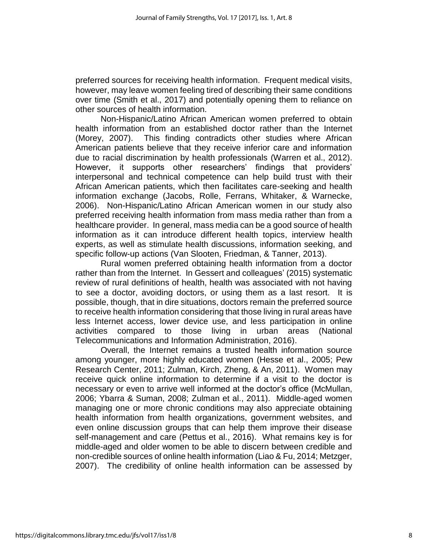preferred sources for receiving health information. Frequent medical visits, however, may leave women feeling tired of describing their same conditions over time (Smith et al., 2017) and potentially opening them to reliance on other sources of health information.

Non-Hispanic/Latino African American women preferred to obtain health information from an established doctor rather than the Internet (Morey, 2007). This finding contradicts other studies where African American patients believe that they receive inferior care and information due to racial discrimination by health professionals (Warren et al., 2012). However, it supports other researchers' findings that providers' interpersonal and technical competence can help build trust with their African American patients, which then facilitates care-seeking and health information exchange (Jacobs, Rolle, Ferrans, Whitaker, & Warnecke, 2006). Non-Hispanic/Latino African American women in our study also preferred receiving health information from mass media rather than from a healthcare provider. In general, mass media can be a good source of health information as it can introduce different health topics, interview health experts, as well as stimulate health discussions, information seeking, and specific follow-up actions (Van Slooten, Friedman, & Tanner, 2013).

Rural women preferred obtaining health information from a doctor rather than from the Internet. In Gessert and colleagues' (2015) systematic review of rural definitions of health, health was associated with not having to see a doctor, avoiding doctors, or using them as a last resort. It is possible, though, that in dire situations, doctors remain the preferred source to receive health information considering that those living in rural areas have less Internet access, lower device use, and less participation in online activities compared to those living in urban areas (National Telecommunications and Information Administration, 2016).

Overall, the Internet remains a trusted health information source among younger, more highly educated women (Hesse et al., 2005; Pew Research Center, 2011; Zulman, Kirch, Zheng, & An, 2011). Women may receive quick online information to determine if a visit to the doctor is necessary or even to arrive well informed at the doctor's office (McMullan, 2006; Ybarra & Suman, 2008; Zulman et al., 2011). Middle-aged women managing one or more chronic conditions may also appreciate obtaining health information from health organizations, government websites, and even online discussion groups that can help them improve their disease self-management and care (Pettus et al., 2016). What remains key is for middle-aged and older women to be able to discern between credible and non-credible sources of online health information (Liao & Fu, 2014; Metzger, 2007). The credibility of online health information can be assessed by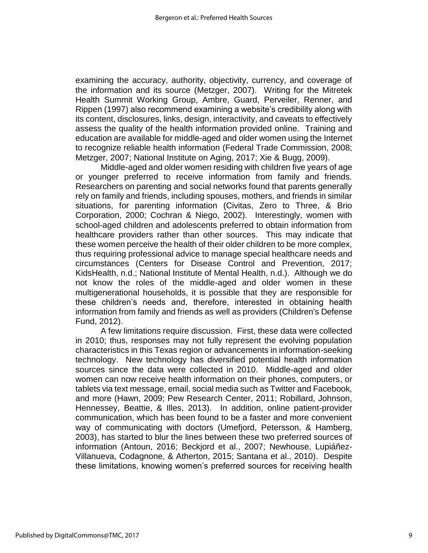examining the accuracy, authority, objectivity, currency, and coverage of the information and its source (Metzger, 2007). Writing for the Mitretek Health Summit Working Group, Ambre, Guard, Perveiler, Renner, and Rippen (1997) also recommend examining a website's credibility along with its content, disclosures, links, design, interactivity, and caveats to effectively assess the quality of the health information provided online. Training and education are available for middle-aged and older women using the Internet to recognize reliable health information (Federal Trade Commission, 2008; Metzger, 2007; National Institute on Aging, 2017; Xie & Bugg, 2009).

Middle-aged and older women residing with children five years of age or younger preferred to receive information from family and friends. Researchers on parenting and social networks found that parents generally rely on family and friends, including spouses, mothers, and friends in similar situations, for parenting information (Civitas, Zero to Three, & Brio Corporation, 2000; Cochran & Niego, 2002). Interestingly, women with school-aged children and adolescents preferred to obtain information from healthcare providers rather than other sources. This may indicate that these women perceive the health of their older children to be more complex, thus requiring professional advice to manage special healthcare needs and circumstances (Centers for Disease Control and Prevention, 2017; KidsHealth, n.d.; National Institute of Mental Health, n.d.). Although we do not know the roles of the middle-aged and older women in these multigenerational households, it is possible that they are responsible for these children's needs and, therefore, interested in obtaining health information from family and friends as well as providers (Children's Defense Fund, 2012).

A few limitations require discussion. First, these data were collected in 2010; thus, responses may not fully represent the evolving population characteristics in this Texas region or advancements in information-seeking technology. New technology has diversified potential health information sources since the data were collected in 2010. Middle-aged and older women can now receive health information on their phones, computers, or tablets via text message, email, social media such as Twitter and Facebook, and more (Hawn, 2009; Pew Research Center, 2011; Robillard, Johnson, Hennessey, Beattie, & Illes, 2013). In addition, online patient-provider communication, which has been found to be a faster and more convenient way of communicating with doctors (Umefjord, Petersson, & Hamberg, 2003), has started to blur the lines between these two preferred sources of information (Antoun, 2016; Beckjord et al., 2007; Newhouse, Lupiáñez-Villanueva, Codagnone, & Atherton, 2015; Santana et al., 2010). Despite these limitations, knowing women's preferred sources for receiving health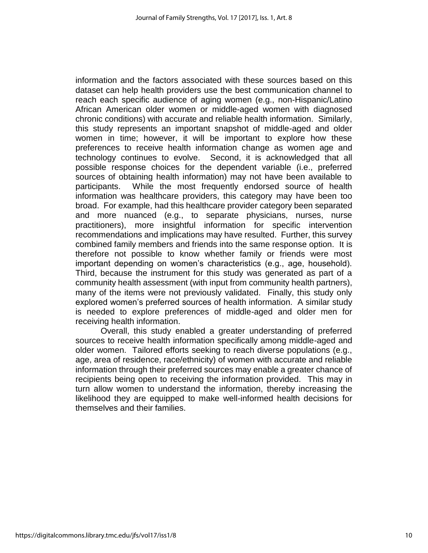information and the factors associated with these sources based on this dataset can help health providers use the best communication channel to reach each specific audience of aging women (e.g., non-Hispanic/Latino African American older women or middle-aged women with diagnosed chronic conditions) with accurate and reliable health information. Similarly, this study represents an important snapshot of middle-aged and older women in time; however, it will be important to explore how these preferences to receive health information change as women age and technology continues to evolve. Second, it is acknowledged that all possible response choices for the dependent variable (i.e., preferred sources of obtaining health information) may not have been available to participants. While the most frequently endorsed source of health information was healthcare providers, this category may have been too broad. For example, had this healthcare provider category been separated and more nuanced (e.g., to separate physicians, nurses, nurse practitioners), more insightful information for specific intervention recommendations and implications may have resulted. Further, this survey combined family members and friends into the same response option. It is therefore not possible to know whether family or friends were most important depending on women's characteristics (e.g., age, household). Third, because the instrument for this study was generated as part of a community health assessment (with input from community health partners), many of the items were not previously validated. Finally, this study only explored women's preferred sources of health information. A similar study is needed to explore preferences of middle-aged and older men for receiving health information.

Overall, this study enabled a greater understanding of preferred sources to receive health information specifically among middle-aged and older women. Tailored efforts seeking to reach diverse populations (e.g., age, area of residence, race/ethnicity) of women with accurate and reliable information through their preferred sources may enable a greater chance of recipients being open to receiving the information provided. This may in turn allow women to understand the information, thereby increasing the likelihood they are equipped to make well-informed health decisions for themselves and their families.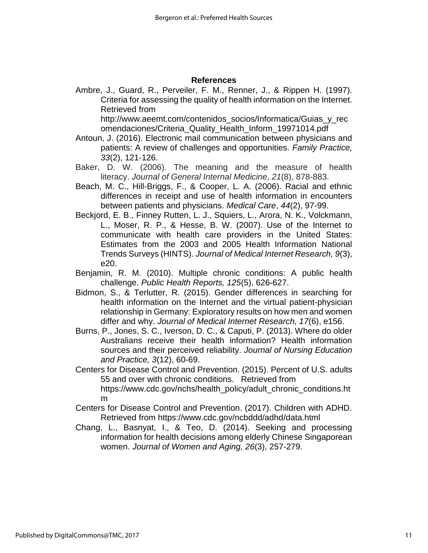#### **References**

Ambre, J., Guard, R., Perveiler, F. M., Renner, J., & Rippen H. (1997). Criteria for assessing the quality of health information on the Internet. Retrieved from

http://www.aeemt.com/contenidos\_socios/Informatica/Guias\_y\_rec omendaciones/Criteria\_Quality\_Health\_Inform\_19971014.pdf

- Antoun, J. (2016). Electronic mail communication between physicians and patients: A review of challenges and opportunities. *Family Practice, 33*(2), 121-126.
- Baker, D. W. (2006). The meaning and the measure of health literacy. *Journal of General Internal Medicine*, *21*(8), 878-883.
- Beach, M. C., Hill-Briggs, F., & Cooper, L. A. (2006). Racial and ethnic differences in receipt and use of health information in encounters between patients and physicians. *Medical Care*, *44*(2), 97-99.
- Beckjord, E. B., Finney Rutten, L. J., Squiers, L., Arora, N. K., Volckmann, L., Moser, R. P., & Hesse, B. W. (2007). Use of the Internet to communicate with health care providers in the United States: Estimates from the 2003 and 2005 Health Information National Trends Surveys (HINTS). *Journal of Medical Internet Research, 9*(3), e20.
- Benjamin, R. M. (2010). Multiple chronic conditions: A public health challenge. *Public Health Reports, 125*(5), 626-627.
- Bidmon, S., & Terlutter, R. (2015). Gender differences in searching for health information on the Internet and the virtual patient-physician relationship in Germany: Exploratory results on how men and women differ and why. *Journal of Medical Internet Research, 17*(6), e156.
- Burns, P., Jones, S. C., Iverson, D. C., & Caputi, P. (2013). Where do older Australians receive their health information? Health information sources and their perceived reliability. *Journal of Nursing Education and Practice, 3*(12), 60-69.
- Centers for Disease Control and Prevention. (2015). Percent of U.S. adults 55 and over with chronic conditions. Retrieved from https://www.cdc.gov/nchs/health\_policy/adult\_chronic\_conditions.ht m
- Centers for Disease Control and Prevention. (2017). Children with ADHD. Retrieved from https://www.cdc.gov/ncbddd/adhd/data.html
- Chang, L., Basnyat, I., & Teo, D. (2014). Seeking and processing information for health decisions among elderly Chinese Singaporean women. *Journal of Women and Aging, 26*(3), 257-279.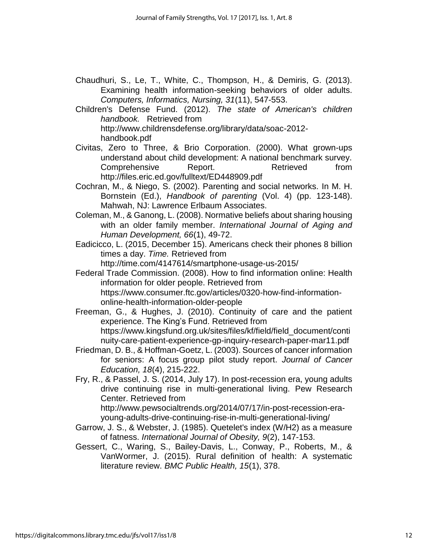- Chaudhuri, S., Le, T., White, C., Thompson, H., & Demiris, G. (2013). Examining health information-seeking behaviors of older adults. *Computers, Informatics, Nursing, 31*(11), 547-553.
- Children's Defense Fund. (2012). *The state of American's children handbook.* Retrieved from http://www.childrensdefense.org/library/data/soac-2012 handbook.pdf
- Civitas, Zero to Three, & Brio Corporation. (2000). What grown-ups understand about child development: A national benchmark survey. Comprehensive Report. Retrieved from http://files.eric.ed.gov/fulltext/ED448909.pdf
- Cochran, M., & Niego, S. (2002). Parenting and social networks. In M. H. Bornstein (Ed.), *Handbook of parenting* (Vol. 4) (pp. 123-148). Mahwah, NJ: Lawrence Erlbaum Associates.
- Coleman, M., & Ganong, L. (2008). Normative beliefs about sharing housing with an older family member. *International Journal of Aging and Human Development, 66*(1), 49-72.
- Eadicicco, L. (2015, December 15). Americans check their phones 8 billion times a day. *Time.* Retrieved from

http://time.com/4147614/smartphone-usage-us-2015/

- Federal Trade Commission. (2008). How to find information online: Health information for older people. Retrieved from https://www.consumer.ftc.gov/articles/0320-how-find-informationonline-health-information-older-people
- Freeman, G., & Hughes, J. (2010). Continuity of care and the patient experience. The King's Fund. Retrieved from https://www.kingsfund.org.uk/sites/files/kf/field/field\_document/conti nuity-care-patient-experience-gp-inquiry-research-paper-mar11.pdf
- Friedman, D. B., & Hoffman-Goetz, L. (2003). Sources of cancer information for seniors: A focus group pilot study report. *Journal of Cancer Education, 18*(4), 215-222.
- Fry, R., & Passel, J. S. (2014, July 17). In post-recession era, young adults drive continuing rise in multi-generational living. Pew Research Center. Retrieved from

http://www.pewsocialtrends.org/2014/07/17/in-post-recession-erayoung-adults-drive-continuing-rise-in-multi-generational-living/

- Garrow, J. S., & Webster, J. (1985). Quetelet's index (W/H2) as a measure of fatness. *International Journal of Obesity, 9*(2), 147-153.
- Gessert, C., Waring, S., Bailey-Davis, L., Conway, P., Roberts, M., & VanWormer, J. (2015). Rural definition of health: A systematic literature review. *BMC Public Health, 15*(1), 378.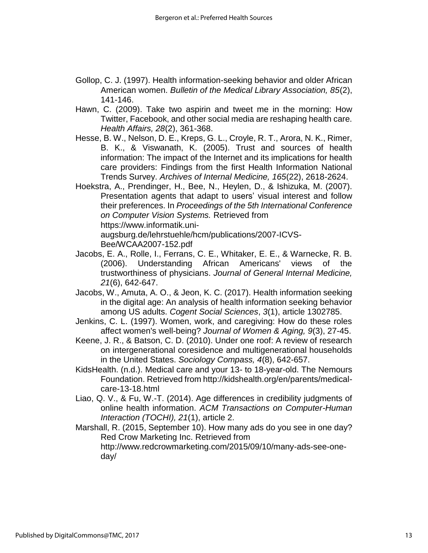- Gollop, C. J. (1997). Health information-seeking behavior and older African American women. *Bulletin of the Medical Library Association, 85*(2), 141-146.
- Hawn, C. (2009). Take two aspirin and tweet me in the morning: How Twitter, Facebook, and other social media are reshaping health care. *Health Affairs, 28*(2), 361-368.
- Hesse, B. W., Nelson, D. E., Kreps, G. L., Croyle, R. T., Arora, N. K., Rimer, B. K., & Viswanath, K. (2005). Trust and sources of health information: The impact of the Internet and its implications for health care providers: Findings from the first Health Information National Trends Survey. *Archives of Internal Medicine, 165*(22), 2618-2624.
- Hoekstra, A., Prendinger, H., Bee, N., Heylen, D., & Ishizuka, M. (2007). Presentation agents that adapt to users' visual interest and follow their preferences. In *Proceedings of the 5th International Conference on Computer Vision Systems.* Retrieved from https://www.informatik.uni-

augsburg.de/lehrstuehle/hcm/publications/2007-ICVS-Bee/WCAA2007-152.pdf

- Jacobs, E. A., Rolle, I., Ferrans, C. E., Whitaker, E. E., & Warnecke, R. B. (2006). Understanding African Americans' views of the trustworthiness of physicians. *Journal of General Internal Medicine, 21*(6), 642-647.
- Jacobs, W., Amuta, A. O., & Jeon, K. C. (2017). Health information seeking in the digital age: An analysis of health information seeking behavior among US adults. *Cogent Social Sciences*, *3*(1), article 1302785.
- Jenkins, C. L. (1997). Women, work, and caregiving: How do these roles affect women's well-being? *Journal of Women & Aging, 9*(3), 27-45.
- Keene, J. R., & Batson, C. D. (2010). Under one roof: A review of research on intergenerational coresidence and multigenerational households in the United States. *Sociology Compass, 4*(8), 642-657.
- KidsHealth. (n.d.). Medical care and your 13- to 18-year-old. The Nemours Foundation. Retrieved from http://kidshealth.org/en/parents/medicalcare-13-18.html
- Liao, Q. V., & Fu, W.-T. (2014). Age differences in credibility judgments of online health information. *ACM Transactions on Computer-Human Interaction (TOCHI), 21*(1), article 2.
- Marshall, R. (2015, September 10). How many ads do you see in one day? Red Crow Marketing Inc. Retrieved from http://www.redcrowmarketing.com/2015/09/10/many-ads-see-oneday/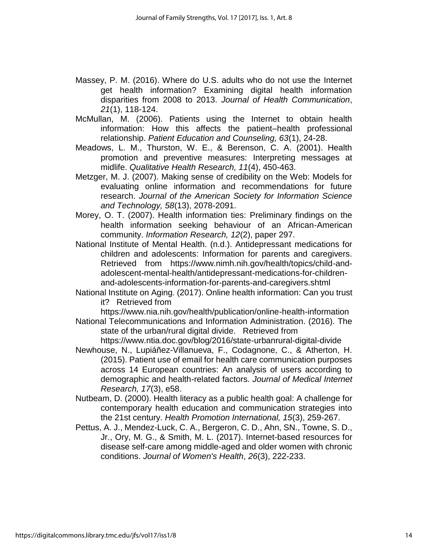- Massey, P. M. (2016). Where do U.S. adults who do not use the Internet get health information? Examining digital health information disparities from 2008 to 2013. *Journal of Health Communication*, *21*(1), 118-124.
- McMullan, M. (2006). Patients using the Internet to obtain health information: How this affects the patient–health professional relationship. *Patient Education and Counseling, 63*(1), 24-28.
- Meadows, L. M., Thurston, W. E., & Berenson, C. A. (2001). Health promotion and preventive measures: Interpreting messages at midlife. *Qualitative Health Research, 11*(4), 450-463.
- Metzger, M. J. (2007). Making sense of credibility on the Web: Models for evaluating online information and recommendations for future research. *Journal of the American Society for Information Science and Technology, 58*(13), 2078-2091.
- Morey, O. T. (2007). Health information ties: Preliminary findings on the health information seeking behaviour of an African-American community. *Information Research, 12*(2), paper 297.
- National Institute of Mental Health. (n.d.). Antidepressant medications for children and adolescents: Information for parents and caregivers. Retrieved from https://www.nimh.nih.gov/health/topics/child-andadolescent-mental-health/antidepressant-medications-for-childrenand-adolescents-information-for-parents-and-caregivers.shtml
- National Institute on Aging. (2017). Online health information: Can you trust it? Retrieved from

https://www.nia.nih.gov/health/publication/online-health-information National Telecommunications and Information Administration. (2016). The state of the urban/rural digital divide. Retrieved from

https://www.ntia.doc.gov/blog/2016/state-urbanrural-digital-divide

- Newhouse, N., Lupiáñez-Villanueva, F., Codagnone, C., & Atherton, H. (2015). Patient use of email for health care communication purposes across 14 European countries: An analysis of users according to demographic and health-related factors. *Journal of Medical Internet Research, 17*(3), e58.
- Nutbeam, D. (2000). Health literacy as a public health goal: A challenge for contemporary health education and communication strategies into the 21st century. *Health Promotion International, 15*(3), 259-267.
- Pettus, A. J., Mendez-Luck, C. A., Bergeron, C. D., Ahn, SN., Towne, S. D., Jr., Ory, M. G., & Smith, M. L. (2017). Internet-based resources for disease self-care among middle-aged and older women with chronic conditions. *Journal of Women's Health*, *26*(3), 222-233.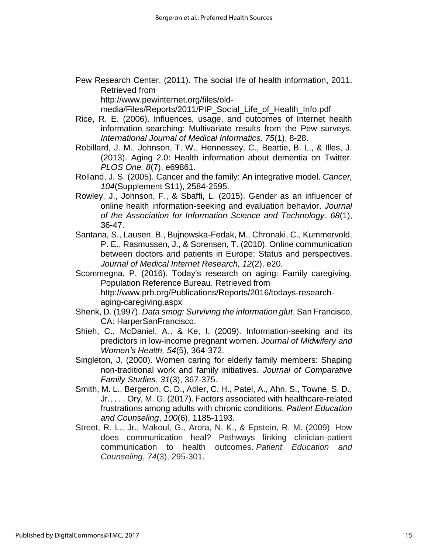Pew Research Center. (2011). The social life of health information, 2011. Retrieved from

http://www.pewinternet.org/files/old-

media/Files/Reports/2011/PIP\_Social\_Life\_of\_Health\_Info.pdf

- Rice, R. E. (2006). Influences, usage, and outcomes of Internet health information searching: Multivariate results from the Pew surveys. *International Journal of Medical Informatics, 75*(1), 8-28.
- Robillard, J. M., Johnson, T. W., Hennessey, C., Beattie, B. L., & Illes, J. (2013). Aging 2.0: Health information about dementia on Twitter. *PLOS One, 8*(7), e69861.
- Rolland, J. S. (2005). Cancer and the family: An integrative model. *Cancer, 104*(Supplement S11), 2584-2595.
- Rowley, J., Johnson, F., & Sbaffi, L. (2015). Gender as an influencer of online health information‐seeking and evaluation behavior. *Journal of the Association for Information Science and Technology*, *68*(1), 36-47.
- Santana, S., Lausen, B., Bujnowska-Fedak, M., Chronaki, C., Kummervold, P. E., Rasmussen, J., & Sorensen, T. (2010). Online communication between doctors and patients in Europe: Status and perspectives. *Journal of Medical Internet Research, 12*(2), e20.
- Scommegna, P. (2016). Today's research on aging: Family caregiving. Population Reference Bureau. Retrieved from http://www.prb.org/Publications/Reports/2016/todays-researchaging-caregiving.aspx
- Shenk, D. (1997). *Data smog: Surviving the information glut*. San Francisco, CA: HarperSanFrancisco.
- Shieh, C., McDaniel, A., & Ke, I. (2009). Information-seeking and its predictors in low‐income pregnant women. *Journal of Midwifery and Women's Health, 54*(5), 364-372.
- Singleton, J. (2000). Women caring for elderly family members: Shaping non-traditional work and family initiatives. *Journal of Comparative Family Studies*, *31*(3), 367-375.
- Smith, M. L., Bergeron, C. D., Adler, C. H., Patel, A., Ahn, S., Towne, S. D., Jr., . . . Ory, M. G. (2017). Factors associated with healthcare-related frustrations among adults with chronic conditions. *Patient Education and Counseling*, *100*(6), 1185-1193.
- Street, R. L., Jr., Makoul, G., Arora, N. K., & Epstein, R. M. (2009). How does communication heal? Pathways linking clinician-patient communication to health outcomes. *Patient Education and Counseling*, *74*(3), 295-301.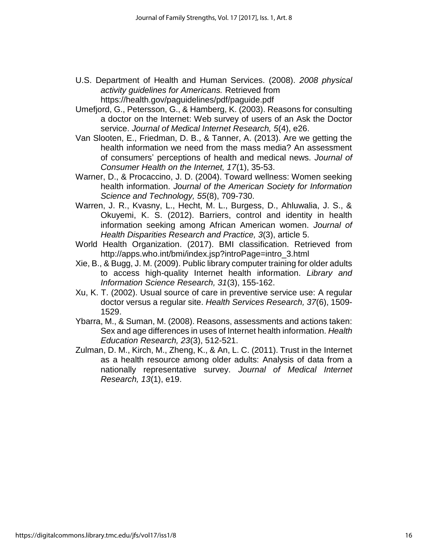- U.S. Department of Health and Human Services. (2008). *2008 physical activity guidelines for Americans.* Retrieved from https://health.gov/paguidelines/pdf/paguide.pdf
- Umefjord, G., Petersson, G., & Hamberg, K. (2003). Reasons for consulting a doctor on the Internet: Web survey of users of an Ask the Doctor service. *Journal of Medical Internet Research, 5*(4), e26.
- Van Slooten, E., Friedman, D. B., & Tanner, A. (2013). Are we getting the health information we need from the mass media? An assessment of consumers' perceptions of health and medical news. *Journal of Consumer Health on the Internet, 17*(1), 35-53.
- Warner, D., & Procaccino, J. D. (2004). Toward wellness: Women seeking health information. *Journal of the American Society for Information Science and Technology, 55*(8), 709-730.
- Warren, J. R., Kvasny, L., Hecht, M. L., Burgess, D., Ahluwalia, J. S., & Okuyemi, K. S. (2012). Barriers, control and identity in health information seeking among African American women. *Journal of Health Disparities Research and Practice, 3*(3), article 5.
- World Health Organization. (2017). BMI classification. Retrieved from http://apps.who.int/bmi/index.jsp?introPage=intro\_3.html
- Xie, B., & Bugg, J. M. (2009). Public library computer training for older adults to access high-quality Internet health information. *Library and Information Science Research, 31*(3), 155-162.
- Xu, K. T. (2002). Usual source of care in preventive service use: A regular doctor versus a regular site. *Health Services Research, 37*(6), 1509- 1529.
- Ybarra, M., & Suman, M. (2008). Reasons, assessments and actions taken: Sex and age differences in uses of Internet health information. *Health Education Research, 23*(3), 512-521.
- Zulman, D. M., Kirch, M., Zheng, K., & An, L. C. (2011). Trust in the Internet as a health resource among older adults: Analysis of data from a nationally representative survey. *Journal of Medical Internet Research, 13*(1), e19.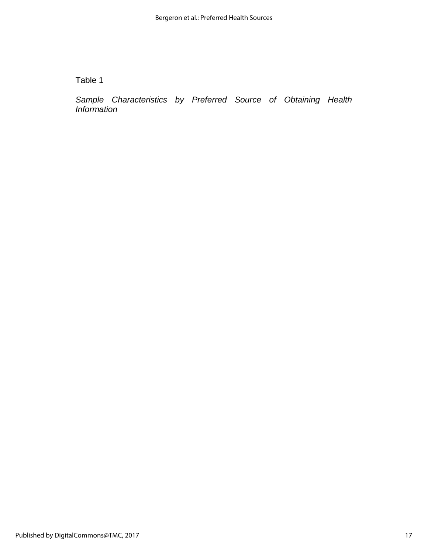Table 1

*Sample Characteristics by Preferred Source of Obtaining Health Information*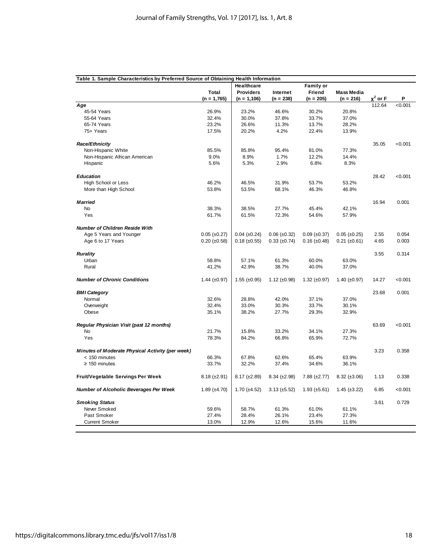| Table 1. Sample Characteristics by Preferred Source of Obtaining Health Information |                       |                       |                     |                       |                       |               |         |
|-------------------------------------------------------------------------------------|-----------------------|-----------------------|---------------------|-----------------------|-----------------------|---------------|---------|
|                                                                                     |                       | <b>Healthcare</b>     |                     | <b>Family or</b>      |                       |               |         |
|                                                                                     | Total                 | <b>Providers</b>      | Internet            | Friend                | <b>Mass Media</b>     | $\chi^2$ or F | P       |
| Age                                                                                 | $(n = 1,765)$         | $(n = 1, 106)$        | $(n = 238)$         | $(n = 205)$           | $(n = 216)$           | 112.64        | < 0.001 |
| 45-54 Years                                                                         | 26.9%                 | 23.2%                 | 46.6%               | 30.2%                 | 20.8%                 |               |         |
| 55-64 Years                                                                         | 32.4%                 | 30.0%                 | 37.8%               | 33.7%                 | 37.0%                 |               |         |
| 65-74 Years                                                                         | 23.2%                 | 26.6%                 | 11.3%               | 13.7%                 | 28.2%                 |               |         |
| 75+ Years                                                                           | 17.5%                 | 20.2%                 | 4.2%                | 22.4%                 | 13.9%                 |               |         |
| Race/Ethnicity                                                                      |                       |                       |                     |                       |                       | 35.05         | < 0.001 |
| Non-Hispanic White                                                                  | 85.5%                 | 85.8%                 | 95.4%               | 81.0%                 | 77.3%                 |               |         |
| Non-Hispanic African American                                                       | 9.0%                  | 8.9%                  | 1.7%                | 12.2%                 | 14.4%                 |               |         |
| Hispanic                                                                            | 5.6%                  | 5.3%                  | 2.9%                | 6.8%                  | 8.3%                  |               |         |
|                                                                                     |                       |                       |                     |                       |                       |               |         |
| <b>Education</b>                                                                    |                       |                       |                     |                       |                       | 28.42         | < 0.001 |
| High School or Less                                                                 | 46.2%                 | 46.5%                 | 31.9%               | 53.7%                 | 53.2%                 |               |         |
| More than High School                                                               | 53.8%                 | 53.5%                 | 68.1%               | 46.3%                 | 46.8%                 |               |         |
| <b>Married</b>                                                                      |                       |                       |                     |                       |                       | 16.94         | 0.001   |
| No                                                                                  | 38.3%                 | 38.5%                 | 27.7%               | 45.4%                 | 42.1%                 |               |         |
| Yes                                                                                 | 61.7%                 | 61.5%                 | 72.3%               | 54.6%                 | 57.9%                 |               |         |
| <b>Number of Children Reside With</b>                                               |                       |                       |                     |                       |                       |               |         |
| Age 5 Years and Younger                                                             | $0.05$ ( $\pm 0.27$ ) | $0.04$ ( $\pm 0.24$ ) | $0.06 (\pm 0.32)$   | $0.09$ ( $\pm 0.37$ ) | $0.05$ ( $\pm 0.25$ ) | 2.55          | 0.054   |
| Age 6 to 17 Years                                                                   | $0.20$ (±0.58)        | $0.18 \ (\pm 0.55)$   | $0.33 \ (\pm 0.74)$ | $0.16$ (±0.48)        | $0.21$ ( $\pm 0.61$ ) | 4.65          | 0.003   |
|                                                                                     |                       |                       |                     |                       |                       |               |         |
| <b>Rurality</b>                                                                     |                       |                       |                     |                       |                       | 3.55          | 0.314   |
| Urban                                                                               | 58.8%                 | 57.1%                 | 61.3%               | 60.0%                 | 63.0%                 |               |         |
| Rural                                                                               | 41.2%                 | 42.9%                 | 38.7%               | 40.0%                 | 37.0%                 |               |         |
| <b>Number of Chronic Conditions</b>                                                 | 1.44 $(\pm 0.97)$     | 1.55 $(\pm 0.95)$     | 1.12 $(\pm 0.98)$   | 1.32 $(\pm 0.97)$     | 1.40 $(\pm 0.97)$     | 14.27         | < 0.001 |
| <b>BMI Category</b>                                                                 |                       |                       |                     |                       |                       | 23.68         | 0.001   |
| Normal                                                                              | 32.6%                 | 28.8%                 | 42.0%               | 37.1%                 | 37.0%                 |               |         |
| Overweight                                                                          | 32.4%                 | 33.0%                 | 30.3%               | 33.7%                 | 30.1%                 |               |         |
| Obese                                                                               | 35.1%                 | 38.2%                 | 27.7%               | 29.3%                 | 32.9%                 |               |         |
| Regular Physician Visit (past 12 months)                                            |                       |                       |                     |                       |                       | 63.69         | < 0.001 |
| No                                                                                  | 21.7%                 | 15.8%                 | 33.2%               | 34.1%                 | 27.3%                 |               |         |
| Yes                                                                                 | 78.3%                 | 84.2%                 | 66.8%               | 65.9%                 | 72.7%                 |               |         |
| Minutes of Moderate Physical Activity (per week)                                    |                       |                       |                     |                       |                       | 3.23          | 0.358   |
| < 150 minutes                                                                       | 66.3%                 | 67.8%                 | 62.6%               | 65.4%                 | 63.9%                 |               |         |
| $\geq$ 150 minutes                                                                  | 33.7%                 | 32.2%                 | 37.4%               | 34.6%                 | 36.1%                 |               |         |
| Fruit/Vegetable Servings Per Week                                                   | $8.18 (\pm 2.91)$     | $8.17 \ (\pm 2.89)$   | $8.34 \ (\pm 2.98)$ | $7.88 (\pm 2.77)$     | $8.32 \ (\pm 3.06)$   | 1.13          | 0.338   |
| Number of Alcoholic Beverages Per Week                                              | $1.89 \ (\pm 4.70)$   | 1.70 $(\pm 4.52)$     | $3.13 \ (\pm 5.52)$ | $1.93 \ (\pm 5.61)$   | $1.45 \ (\pm 3.22)$   | 6.85          | < 0.001 |
| <b>Smoking Status</b>                                                               |                       |                       |                     |                       |                       | 3.61          | 0.729   |
| Never Smoked                                                                        | 59.6%                 | 58.7%                 | 61.3%               | 61.0%                 | 61.1%                 |               |         |
| Past Smoker                                                                         | 27.4%                 | 28.4%                 | 26.1%               | 23.4%                 | 27.3%                 |               |         |
| <b>Current Smoker</b>                                                               | 13.0%                 | 12.9%                 | 12.6%               | 15.6%                 | 11.6%                 |               |         |